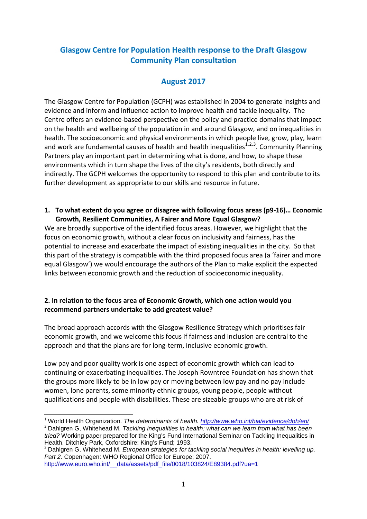# **Glasgow Centre for Population Health response to the Draft Glasgow Community Plan consultation**

# **August 2017**

The Glasgow Centre for Population (GCPH) was established in 2004 to generate insights and evidence and inform and influence action to improve health and tackle inequality. The Centre offers an evidence-based perspective on the policy and practice domains that impact on the health and wellbeing of the population in and around Glasgow, and on inequalities in health. The socioeconomic and physical environments in which people live, grow, play, learn and work are fundamental causes of health and health inequalities<sup>[1,](#page-0-0)[2,](#page-0-1)[3](#page-0-2)</sup>. Community Planning Partners play an important part in determining what is done, and how, to shape these environments which in turn shape the lives of the city's residents, both directly and indirectly. The GCPH welcomes the opportunity to respond to this plan and contribute to its further development as appropriate to our skills and resource in future.

**1. To what extent do you agree or disagree with following focus areas (p9-16)… Economic Growth, Resilient Communities, A Fairer and More Equal Glasgow?** 

We are broadly supportive of the identified focus areas. However, we highlight that the focus on economic growth, without a clear focus on inclusivity and fairness, has the potential to increase and exacerbate the impact of existing inequalities in the city. So that this part of the strategy is compatible with the third proposed focus area (a 'fairer and more equal Glasgow') we would encourage the authors of the Plan to make explicit the expected links between economic growth and the reduction of socioeconomic inequality.

### **2. In relation to the focus area of Economic Growth, which one action would you recommend partners undertake to add greatest value?**

The broad approach accords with the Glasgow Resilience Strategy which prioritises fair economic growth, and we welcome this focus if fairness and inclusion are central to the approach and that the plans are for long-term, inclusive economic growth.

Low pay and poor quality work is one aspect of economic growth which can lead to continuing or exacerbating inequalities. The Joseph Rowntree Foundation has shown that the groups more likely to be in low pay or moving between low pay and no pay include women, lone parents, some minority ethnic groups, young people, people without qualifications and people with disabilities. These are sizeable groups who are at risk of

<span id="page-0-0"></span><sup>&</sup>lt;sup>1</sup> World Health Organization*. The determinants of health.<http://www.who.int/hia/evidence/doh/en/>*<br><sup>2</sup> Dahlgren G, Whitehead M. *Tackling inequalities in health: what can we learn from what has been* 

<span id="page-0-1"></span>*tried?* Working paper prepared for the King's Fund International Seminar on Tackling Inequalities in

<span id="page-0-2"></span><sup>&</sup>lt;sup>3</sup> Dahlgren G, Whitehead M. *European strategies for tackling social inequities in health: levelling up, Part 2*. Copenhagen: WHO Regional Office for Europe; 2007.

http://www.euro.who.int/ data/assets/pdf file/0018/103824/E89384.pdf?ua=1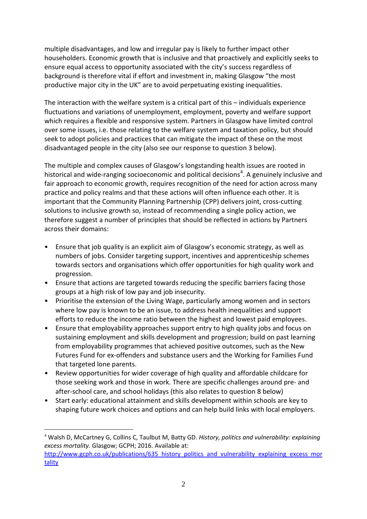multiple disadvantages, and low and irregular pay is likely to further impact other householders. Economic growth that is inclusive and that proactively and explicitly seeks to ensure equal access to opportunity associated with the city's success regardless of background is therefore vital if effort and investment in, making Glasgow "the most productive major city in the UK" are to avoid perpetuating existing inequalities.

The interaction with the welfare system is a critical part of this – individuals experience fluctuations and variations of unemployment, employment, poverty and welfare support which requires a flexible and responsive system. Partners in Glasgow have limited control over some issues, i.e. those relating to the welfare system and taxation policy, but should seek to adopt policies and practices that can mitigate the impact of these on the most disadvantaged people in the city (also see our response to question 3 below).

The multiple and complex causes of Glasgow's longstanding health issues are rooted in historical and wide-ranging socioeconomic and political decisions<sup>[4](#page-1-0)</sup>. A genuinely inclusive and fair approach to economic growth, requires recognition of the need for action across many practice and policy realms and that these actions will often influence each other. It is important that the Community Planning Partnership (CPP) delivers joint, cross-cutting solutions to inclusive growth so, instead of recommending a single policy action, we therefore suggest a number of principles that should be reflected in actions by Partners across their domains:

- Ensure that job quality is an explicit aim of Glasgow's economic strategy, as well as numbers of jobs. Consider targeting support, incentives and apprenticeship schemes towards sectors and organisations which offer opportunities for high quality work and progression.
- Ensure that actions are targeted towards reducing the specific barriers facing those groups at a high risk of low pay and job insecurity.
- Prioritise the extension of the Living Wage, particularly among women and in sectors where low pay is known to be an issue, to address health inequalities and support efforts to reduce the income ratio between the highest and lowest paid employees.
- Ensure that employability approaches support entry to high quality jobs and focus on sustaining employment and skills development and progression; build on past learning from employability programmes that achieved positive outcomes, such as the New Futures Fund for ex-offenders and substance users and the Working for Families Fund that targeted lone parents.
- Review opportunities for wider coverage of high quality and affordable childcare for those seeking work and those in work. There are specific challenges around pre- and after-school care, and school holidays (this also relates to question 8 below)
- Start early: educational attainment and skills development within schools are key to shaping future work choices and options and can help build links with local employers.

<span id="page-1-0"></span> <sup>4</sup> Walsh D, McCartney G, Collins C, Taulbut M, Batty GD. *History, politics and vulnerability: explaining excess mortality.* Glasgow; GCPH; 2016. Available at: [http://www.gcph.co.uk/publications/635\\_history\\_politics\\_and\\_vulnerability\\_explaining\\_excess\\_mor](http://www.gcph.co.uk/publications/635_history_politics_and_vulnerability_explaining_excess_mortality) [tality](http://www.gcph.co.uk/publications/635_history_politics_and_vulnerability_explaining_excess_mortality)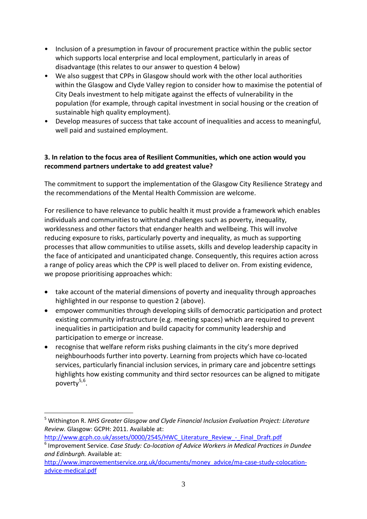- Inclusion of a presumption in favour of procurement practice within the public sector which supports local enterprise and local employment, particularly in areas of disadvantage (this relates to our answer to question 4 below)
- We also suggest that CPPs in Glasgow should work with the other local authorities within the Glasgow and Clyde Valley region to consider how to maximise the potential of City Deals investment to help mitigate against the effects of vulnerability in the population (for example, through capital investment in social housing or the creation of sustainable high quality employment).
- Develop measures of success that take account of inequalities and access to meaningful, well paid and sustained employment.

## **3. In relation to the focus area of Resilient Communities, which one action would you recommend partners undertake to add greatest value?**

The commitment to support the implementation of the Glasgow City Resilience Strategy and the recommendations of the Mental Health Commission are welcome.

For resilience to have relevance to public health it must provide a framework which enables individuals and communities to withstand challenges such as poverty, inequality, worklessness and other factors that endanger health and wellbeing. This will involve reducing exposure to risks, particularly poverty and inequality, as much as supporting processes that allow communities to utilise assets, skills and develop leadership capacity in the face of anticipated and unanticipated change. Consequently, this requires action across a range of policy areas which the CPP is well placed to deliver on. From existing evidence, we propose prioritising approaches which:

- take account of the material dimensions of poverty and inequality through approaches highlighted in our response to question 2 (above).
- empower communities through developing skills of democratic participation and protect existing community infrastructure (e.g. meeting spaces) which are required to prevent inequalities in participation and build capacity for community leadership and participation to emerge or increase.
- recognise that welfare reform risks pushing claimants in the city's more deprived neighbourhoods further into poverty. Learning from projects which have co-located services, particularly financial inclusion services, in primary care and jobcentre settings highlights how existing community and third sector resources can be aligned to mitigate poverty<sup>[5](#page-2-0),[6](#page-2-1)</sup>.

<u>.</u>

<span id="page-2-0"></span><sup>5</sup> Withington R. *NHS Greater Glasgow and Clyde Financial Inclusion Evaluation Project: Literature Review.* Glasgow: GCPH: 2011. Available at:

[http://www.gcph.co.uk/assets/0000/2545/HWC\\_Literature\\_Review\\_-\\_Final\\_Draft.pdf](http://www.gcph.co.uk/assets/0000/2545/HWC_Literature_Review_-_Final_Draft.pdf)

<span id="page-2-1"></span><sup>6</sup> Improvement Service. *Case Study: Co-location of Advice Workers in Medical Practices in Dundee and Edinburgh.* Available at:

[http://www.improvementservice.org.uk/documents/money\\_advice/ma-case-study-colocation](http://www.improvementservice.org.uk/documents/money_advice/ma-case-study-colocation-advice-medical.pdf)[advice-medical.pdf](http://www.improvementservice.org.uk/documents/money_advice/ma-case-study-colocation-advice-medical.pdf)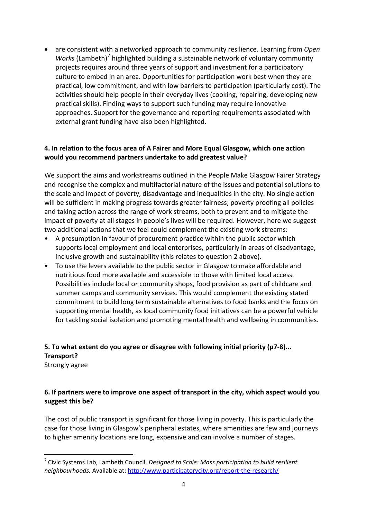• are consistent with a networked approach to community resilience. Learning from *Open Works* (Lambeth)<sup>[7](#page-3-0)</sup> highlighted building a sustainable network of voluntary community projects requires around three years of support and investment for a participatory culture to embed in an area. Opportunities for participation work best when they are practical, low commitment, and with low barriers to participation (particularly cost). The activities should help people in their everyday lives (cooking, repairing, developing new practical skills). Finding ways to support such funding may require innovative approaches. Support for the governance and reporting requirements associated with external grant funding have also been highlighted.

### **4. In relation to the focus area of A Fairer and More Equal Glasgow, which one action would you recommend partners undertake to add greatest value?**

We support the aims and workstreams outlined in the People Make Glasgow Fairer Strategy and recognise the complex and multifactorial nature of the issues and potential solutions to the scale and impact of poverty, disadvantage and inequalities in the city. No single action will be sufficient in making progress towards greater fairness; poverty proofing all policies and taking action across the range of work streams, both to prevent and to mitigate the impact of poverty at all stages in people's lives will be required. However, here we suggest two additional actions that we feel could complement the existing work streams:

- A presumption in favour of procurement practice within the public sector which supports local employment and local enterprises, particularly in areas of disadvantage, inclusive growth and sustainability (this relates to question 2 above).
- To use the levers available to the public sector in Glasgow to make affordable and nutritious food more available and accessible to those with limited local access. Possibilities include local or community shops, food provision as part of childcare and summer camps and community services. This would complement the existing stated commitment to build long term sustainable alternatives to food banks and the focus on supporting mental health, as local community food initiatives can be a powerful vehicle for tackling social isolation and promoting mental health and wellbeing in communities.

#### **5. To what extent do you agree or disagree with following initial priority (p7-8)... Transport?**  Strongly agree

### **6. If partners were to improve one aspect of transport in the city, which aspect would you suggest this be?**

The cost of public transport is significant for those living in poverty. This is particularly the case for those living in Glasgow's peripheral estates, where amenities are few and journeys to higher amenity locations are long, expensive and can involve a number of stages.

<u>.</u>

<span id="page-3-0"></span><sup>7</sup> Civic Systems Lab, Lambeth Council. *Designed to Scale: Mass participation to build resilient neighbourhoods.* Available at:<http://www.participatorycity.org/report-the-research/>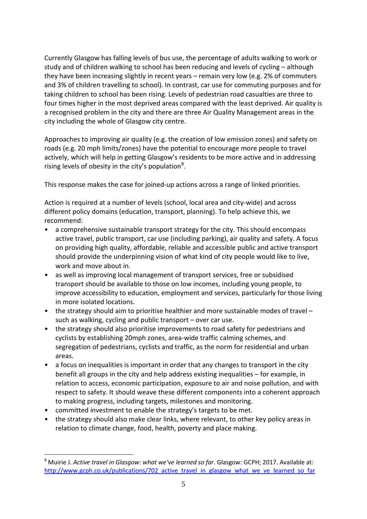Currently Glasgow has falling levels of bus use, the percentage of adults walking to work or study and of children walking to school has been reducing and levels of cycling – although they have been increasing slightly in recent years – remain very low (e.g. 2% of commuters and 3% of children travelling to school). In contrast, car use for commuting purposes and for taking children to school has been rising. Levels of pedestrian road casualties are three to four times higher in the most deprived areas compared with the least deprived. Air quality is a recognised problem in the city and there are three Air Quality Management areas in the city including the whole of Glasgow city centre.

Approaches to improving air quality (e.g. the creation of low emission zones) and safety on roads (e.g. 20 mph limits/zones) have the potential to encourage more people to travel actively, which will help in getting Glasgow's residents to be more active and in addressing rising levels of obesity in the city's population<sup>[8](#page-4-0)</sup>.

This response makes the case for joined-up actions across a range of linked priorities.

Action is required at a number of levels (school, local area and city-wide) and across different policy domains (education, transport, planning). To help achieve this, we recommend:

- a comprehensive sustainable transport strategy for the city. This should encompass active travel, public transport, car use (including parking), air quality and safety. A focus on providing high quality, affordable, reliable and accessible public and active transport should provide the underpinning vision of what kind of city people would like to live, work and move about in.
- as well as improving local management of transport services, free or subsidised transport should be available to those on low incomes, including young people, to improve accessibility to education, employment and services, particularly for those living in more isolated locations.
- the strategy should aim to prioritise healthier and more sustainable modes of travel such as walking, cycling and public transport – over car use.
- the strategy should also prioritise improvements to road safety for pedestrians and cyclists by establishing 20mph zones, area-wide traffic calming schemes, and segregation of pedestrians, cyclists and traffic, as the norm for residential and urban areas.
- a focus on inequalities is important in order that any changes to transport in the city benefit all groups in the city and help address existing inequalities – for example, in relation to access, economic participation, exposure to air and noise pollution, and with respect to safety. It should weave these different components into a coherent approach to making progress, including targets, milestones and monitoring.
- committed investment to enable the strategy's targets to be met.

<u>.</u>

• the strategy should also make clear links, where relevant, to other key policy areas in relation to climate change, food, health, poverty and place making.

<span id="page-4-0"></span><sup>8</sup> Muirie J. *Active travel in Glasgow: what we've learned so far*. Glasgow: GCPH; 2017. Available at: http://www.gcph.co.uk/publications/702 active travel in glasgow what we ve learned so far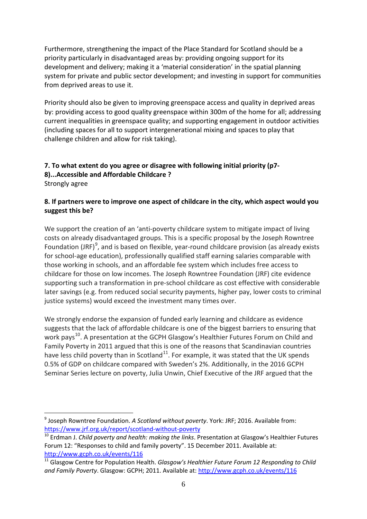Furthermore, strengthening the impact of the Place Standard for Scotland should be a priority particularly in disadvantaged areas by: providing ongoing support for its development and delivery; making it a 'material consideration' in the spatial planning system for private and public sector development; and investing in support for communities from deprived areas to use it.

Priority should also be given to improving greenspace access and quality in deprived areas by: providing access to good quality greenspace within 300m of the home for all; addressing current inequalities in greenspace quality; and supporting engagement in outdoor activities (including spaces for all to support intergenerational mixing and spaces to play that challenge children and allow for risk taking).

### **7. To what extent do you agree or disagree with following initial priority (p7- 8)...Accessible and Affordable Childcare ?**

Strongly agree

<u>.</u>

## **8. If partners were to improve one aspect of childcare in the city, which aspect would you suggest this be?**

We support the creation of an 'anti-poverty childcare system to mitigate impact of living costs on already disadvantaged groups. This is a specific proposal by the Joseph Rowntree Foundation (JRF) $^9$  $^9$ , and is based on flexible, year-round childcare provision (as already exists for school-age education), professionally qualified staff earning salaries comparable with those working in schools, and an affordable fee system which includes free access to childcare for those on low incomes. The Joseph Rowntree Foundation (JRF) cite evidence supporting such a transformation in pre-school childcare as cost effective with considerable later savings (e.g. from reduced social security payments, higher pay, lower costs to criminal justice systems) would exceed the investment many times over.

We strongly endorse the expansion of funded early learning and childcare as evidence suggests that the lack of affordable childcare is one of the biggest barriers to ensuring that work pays<sup>[10](#page-5-1)</sup>. A presentation at the GCPH Glasgow's Healthier Futures Forum on Child and Family Poverty in 2011 argued that this is one of the reasons that Scandinavian countries have less child poverty than in Scotland<sup>11</sup>. For example, it was stated that the UK spends 0.5% of GDP on childcare compared with Sweden's 2%. Additionally, in the 2016 GCPH Seminar Series lecture on poverty, Julia Unwin, Chief Executive of the JRF argued that the

<span id="page-5-0"></span><sup>9</sup> Joseph Rowntree Foundation. *A Scotland without poverty*. York: JRF; 2016. Available from:

<span id="page-5-1"></span><sup>&</sup>lt;sup>10</sup> Erdman J. *Child poverty and health: making the links*. Presentation at Glasgow's Healthier Futures Forum 12: "Responses to child and family poverty". 15 December 2011. Available at: <http://www.gcph.co.uk/events/116>

<span id="page-5-2"></span><sup>&</sup>lt;sup>11</sup> Glasgow Centre for Population Health. *Glasgow's Healthier Future Forum 12 Responding to Child and Family Poverty*. Glasgow: GCPH; 2011. Available at[: http://www.gcph.co.uk/events/116](http://www.gcph.co.uk/events/116)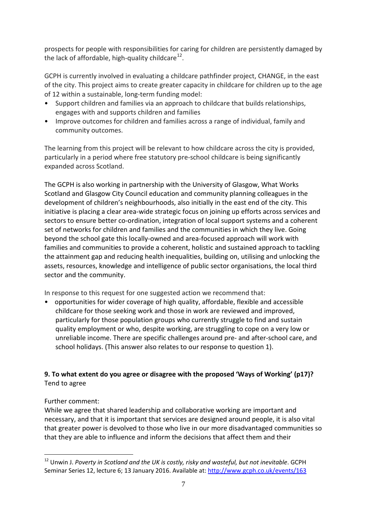prospects for people with responsibilities for caring for children are persistently damaged by the lack of affordable, high-quality childcare $^{12}$  $^{12}$  $^{12}$ .

GCPH is currently involved in evaluating a childcare pathfinder project, CHANGE, in the east of the city. This project aims to create greater capacity in childcare for children up to the age of 12 within a sustainable, long-term funding model:

- Support children and families via an approach to childcare that builds relationships, engages with and supports children and families
- Improve outcomes for children and families across a range of individual, family and community outcomes.

The learning from this project will be relevant to how childcare across the city is provided, particularly in a period where free statutory pre-school childcare is being significantly expanded across Scotland.

The GCPH is also working in partnership with the University of Glasgow, What Works Scotland and Glasgow City Council education and community planning colleagues in the development of children's neighbourhoods, also initially in the east end of the city. This initiative is placing a clear area-wide strategic focus on joining up efforts across services and sectors to ensure better co-ordination, integration of local support systems and a coherent set of networks for children and families and the communities in which they live. Going beyond the school gate this locally-owned and area-focused approach will work with families and communities to provide a coherent, holistic and sustained approach to tackling the attainment gap and reducing health inequalities, building on, utilising and unlocking the assets, resources, knowledge and intelligence of public sector organisations, the local third sector and the community.

In response to this request for one suggested action we recommend that:

• opportunities for wider coverage of high quality, affordable, flexible and accessible childcare for those seeking work and those in work are reviewed and improved, particularly for those population groups who currently struggle to find and sustain quality employment or who, despite working, are struggling to cope on a very low or unreliable income. There are specific challenges around pre- and after-school care, and school holidays. (This answer also relates to our response to question 1).

# **9. To what extent do you agree or disagree with the proposed 'Ways of Working' (p17)?**  Tend to agree

# Further comment:

While we agree that shared leadership and collaborative working are important and necessary, and that it is important that services are designed around people, it is also vital that greater power is devolved to those who live in our more disadvantaged communities so that they are able to influence and inform the decisions that affect them and their

<span id="page-6-0"></span><sup>&</sup>lt;u>.</u> <sup>12</sup> Unwin J. Poverty in Scotland and the UK is costly, risky and wasteful, but not inevitable. GCPH Seminar Series 12, lecture 6; 13 January 2016. Available at:<http://www.gcph.co.uk/events/163>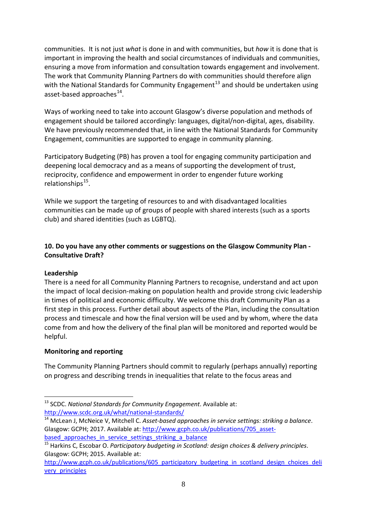communities. It is not just *what* is done in and with communities, but *how* it is done that is important in improving the health and social circumstances of individuals and communities, ensuring a move from information and consultation towards engagement and involvement. The work that Community Planning Partners do with communities should therefore align with the National Standards for Community Engagement<sup>[13](#page-7-0)</sup> and should be undertaken using asset-based approaches<sup>14</sup>.

Ways of working need to take into account Glasgow's diverse population and methods of engagement should be tailored accordingly: languages, digital/non-digital, ages, disability. We have previously recommended that, in line with the National Standards for Community Engagement, communities are supported to engage in community planning.

Participatory Budgeting (PB) has proven a tool for engaging community participation and deepening local democracy and as a means of supporting the development of trust, reciprocity, confidence and empowerment in order to engender future working relationships $^{15}$ .

While we support the targeting of resources to and with disadvantaged localities communities can be made up of groups of people with shared interests (such as a sports club) and shared identities (such as LGBTQ).

#### **10. Do you have any other comments or suggestions on the Glasgow Community Plan - Consultative Draft?**

#### **Leadership**

-

There is a need for all Community Planning Partners to recognise, understand and act upon the impact of local decision-making on population health and provide strong civic leadership in times of political and economic difficulty. We welcome this draft Community Plan as a first step in this process. Further detail about aspects of the Plan, including the consultation process and timescale and how the final version will be used and by whom, where the data come from and how the delivery of the final plan will be monitored and reported would be helpful.

#### **Monitoring and reporting**

The Community Planning Partners should commit to regularly (perhaps annually) reporting on progress and describing trends in inequalities that relate to the focus areas and

<span id="page-7-0"></span><sup>13</sup> SCDC. *National Standards for Community Engagement*. Available at: <http://www.scdc.org.uk/what/national-standards/>

<span id="page-7-1"></span><sup>14</sup> McLean J, McNeice V, Mitchell C. *Asset-based approaches in service settings: striking a balance*. Glasgow: GCPH; 2017. Available at: [http://www.gcph.co.uk/publications/705\\_asset](http://www.gcph.co.uk/publications/705_asset-based_approaches_in_service_settings_striking_a_balance)based approaches in service settings striking a balance

<span id="page-7-2"></span><sup>15</sup> Harkins C, Escobar O. *Participatory budgeting in Scotland: design choices & delivery principles*. Glasgow: GCPH; 2015. Available at:

[http://www.gcph.co.uk/publications/605\\_participatory\\_budgeting\\_in\\_scotland\\_design\\_choices\\_deli](http://www.gcph.co.uk/publications/605_participatory_budgeting_in_scotland_design_choices_delivery_principles) [very\\_principles](http://www.gcph.co.uk/publications/605_participatory_budgeting_in_scotland_design_choices_delivery_principles)